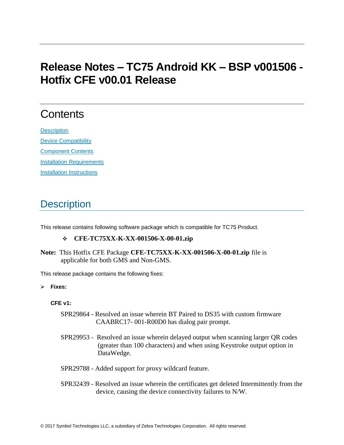# **Release Notes – TC75 Android KK – BSP v001506 - Hotfix CFE v00.01 Release**

# **Contents**

**[Description](#page-0-0)** [Device Compatibility](#page-1-0) [Component Contents](#page-2-0) [Installation Requirements](#page-2-1) [Installation Instructions](#page-2-2)

## <span id="page-0-0"></span>**Description**

This release contains following software package which is compatible for TC75 Product.

### ❖ **CFE-TC75XX-K-XX-001506-X-00-01.zip**

**Note:** This Hotfix CFE Package **CFE-TC75XX-K-XX-001506-X-00-01.zip** file is applicable for both GMS and Non-GMS.

This release package contains the following fixes:

#### ➢ **Fixes:**

### **CFE v1:**

- SPR29864 Resolved an issue wherein BT Paired to DS35 with custom firmware CAABRC17- 001-R00D0 has dialog pair prompt.
- SPR29953 Resolved an issue wherein delayed output when scanning larger QR codes (greater than 100 characters) and when using Keystroke output option in DataWedge.
- SPR29788 Added support for proxy wildcard feature.
- SPR32439 Resolved an issue wherein the certificates get deleted Intermittently from the device, causing the device connectivity failures to N/W.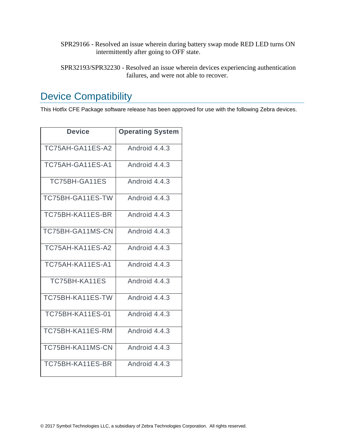- SPR29166 Resolved an issue wherein during battery swap mode RED LED turns ON intermittently after going to OFF state.
- SPR32193/SPR32230 Resolved an issue wherein devices experiencing authentication failures, and were not able to recover.

### <span id="page-1-0"></span>Device Compatibility

This Hotfix CFE Package software release has been approved for use with the following Zebra devices.

| Device                  | <b>Operating System</b> |
|-------------------------|-------------------------|
| TC75AH-GA11ES-A2        | Android 4.4.3           |
| TC75AH-GA11ES-A1        | Android 4.4.3           |
| TC75BH-GA11ES           | Android 4.4.3           |
| TC75BH-GA11ES-TW        | Android 4.4.3           |
| TC75BH-KA11ES-BR        | Android 4.4.3           |
| TC75BH-GA11MS-CN        | Android 4.4.3           |
| TC75AH-KA11ES-A2        | Android 4.4.3           |
| TC75AH-KA11ES-A1        | Android 4.4.3           |
| TC75BH-KA11ES           | Android 4.4.3           |
| TC75BH-KA11ES-TW        | Android 4.4.3           |
| <b>TC75BH-KA11ES-01</b> | Android 4.4.3           |
| TC75BH-KA11ES-RM        | Android 4.4.3           |
| TC75BH-KA11MS-CN        | Android 4.4.3           |
| TC75BH-KA11ES-BR        | Android 4.4.3           |